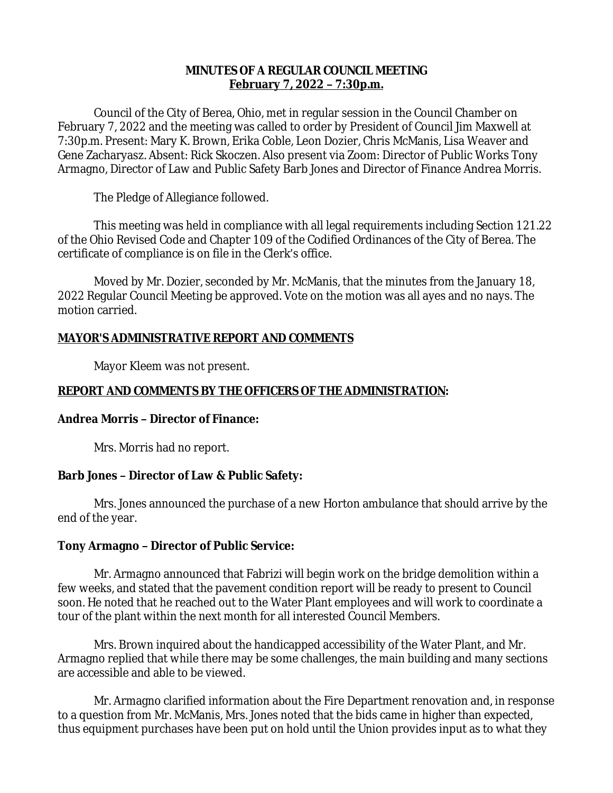# **MINUTES OF A REGULAR COUNCIL MEETING February 7, 2022 – 7:30p.m.**

Council of the City of Berea, Ohio, met in regular session in the Council Chamber on February 7, 2022 and the meeting was called to order by President of Council Jim Maxwell at 7:30p.m. Present: Mary K. Brown, Erika Coble, Leon Dozier, Chris McManis, Lisa Weaver and Gene Zacharyasz. Absent: Rick Skoczen. Also present via Zoom: Director of Public Works Tony Armagno, Director of Law and Public Safety Barb Jones and Director of Finance Andrea Morris.

The Pledge of Allegiance followed.

This meeting was held in compliance with all legal requirements including Section 121.22 of the Ohio Revised Code and Chapter 109 of the Codified Ordinances of the City of Berea. The certificate of compliance is on file in the Clerk's office.

Moved by Mr. Dozier, seconded by Mr. McManis, that the minutes from the January 18, 2022 Regular Council Meeting be approved. Vote on the motion was all ayes and no nays. The motion carried.

# **MAYOR'S ADMINISTRATIVE REPORT AND COMMENTS**

Mayor Kleem was not present.

# **REPORT AND COMMENTS BY THE OFFICERS OF THE ADMINISTRATION:**

# **Andrea Morris – Director of Finance:**

Mrs. Morris had no report.

# **Barb Jones – Director of Law & Public Safety:**

Mrs. Jones announced the purchase of a new Horton ambulance that should arrive by the end of the year.

# **Tony Armagno – Director of Public Service:**

Mr. Armagno announced that Fabrizi will begin work on the bridge demolition within a few weeks, and stated that the pavement condition report will be ready to present to Council soon. He noted that he reached out to the Water Plant employees and will work to coordinate a tour of the plant within the next month for all interested Council Members.

Mrs. Brown inquired about the handicapped accessibility of the Water Plant, and Mr. Armagno replied that while there may be some challenges, the main building and many sections are accessible and able to be viewed.

Mr. Armagno clarified information about the Fire Department renovation and, in response to a question from Mr. McManis, Mrs. Jones noted that the bids came in higher than expected, thus equipment purchases have been put on hold until the Union provides input as to what they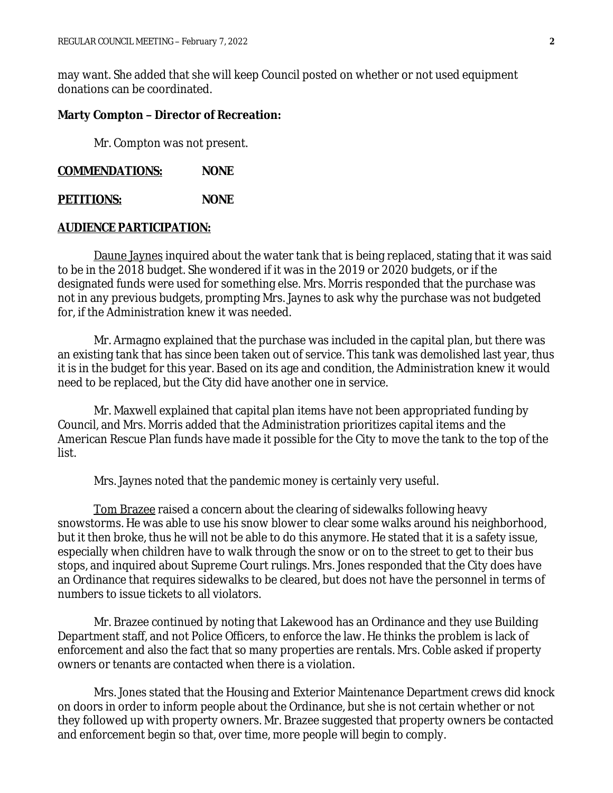may want. She added that she will keep Council posted on whether or not used equipment donations can be coordinated.

### **Marty Compton – Director of Recreation:**

Mr. Compton was not present.

**COMMENDATIONS: NONE**

**PETITIONS: NONE**

### **AUDIENCE PARTICIPATION:**

Daune Jaynes inquired about the water tank that is being replaced, stating that it was said to be in the 2018 budget. She wondered if it was in the 2019 or 2020 budgets, or if the designated funds were used for something else. Mrs. Morris responded that the purchase was not in any previous budgets, prompting Mrs. Jaynes to ask why the purchase was not budgeted for, if the Administration knew it was needed.

Mr. Armagno explained that the purchase was included in the capital plan, but there was an existing tank that has since been taken out of service. This tank was demolished last year, thus it is in the budget for this year. Based on its age and condition, the Administration knew it would need to be replaced, but the City did have another one in service.

Mr. Maxwell explained that capital plan items have not been appropriated funding by Council, and Mrs. Morris added that the Administration prioritizes capital items and the American Rescue Plan funds have made it possible for the City to move the tank to the top of the list.

Mrs. Jaynes noted that the pandemic money is certainly very useful.

Tom Brazee raised a concern about the clearing of sidewalks following heavy snowstorms. He was able to use his snow blower to clear some walks around his neighborhood, but it then broke, thus he will not be able to do this anymore. He stated that it is a safety issue, especially when children have to walk through the snow or on to the street to get to their bus stops, and inquired about Supreme Court rulings. Mrs. Jones responded that the City does have an Ordinance that requires sidewalks to be cleared, but does not have the personnel in terms of numbers to issue tickets to all violators.

Mr. Brazee continued by noting that Lakewood has an Ordinance and they use Building Department staff, and not Police Officers, to enforce the law. He thinks the problem is lack of enforcement and also the fact that so many properties are rentals. Mrs. Coble asked if property owners or tenants are contacted when there is a violation.

Mrs. Jones stated that the Housing and Exterior Maintenance Department crews did knock on doors in order to inform people about the Ordinance, but she is not certain whether or not they followed up with property owners. Mr. Brazee suggested that property owners be contacted and enforcement begin so that, over time, more people will begin to comply.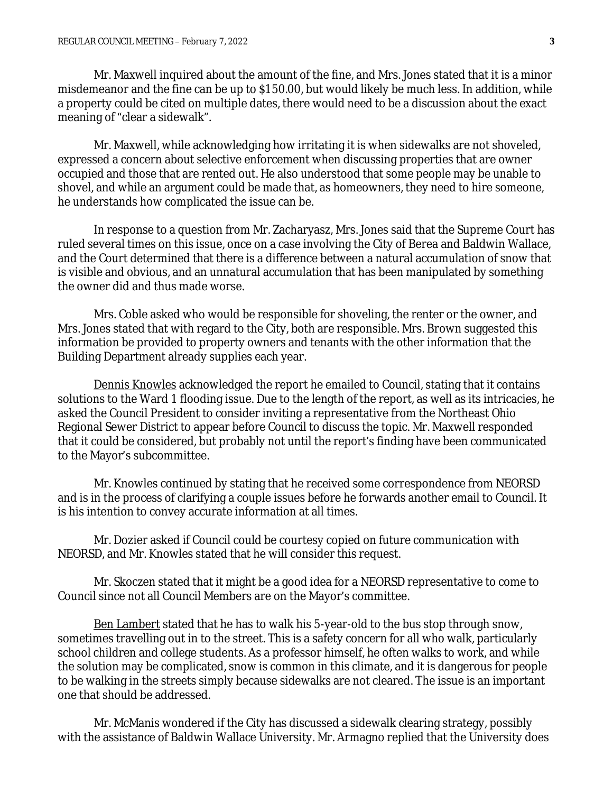Mr. Maxwell inquired about the amount of the fine, and Mrs. Jones stated that it is a minor misdemeanor and the fine can be up to \$150.00, but would likely be much less. In addition, while a property could be cited on multiple dates, there would need to be a discussion about the exact meaning of "clear a sidewalk".

Mr. Maxwell, while acknowledging how irritating it is when sidewalks are not shoveled, expressed a concern about selective enforcement when discussing properties that are owner occupied and those that are rented out. He also understood that some people may be unable to shovel, and while an argument could be made that, as homeowners, they need to hire someone, he understands how complicated the issue can be.

In response to a question from Mr. Zacharyasz, Mrs. Jones said that the Supreme Court has ruled several times on this issue, once on a case involving the City of Berea and Baldwin Wallace, and the Court determined that there is a difference between a natural accumulation of snow that is visible and obvious, and an unnatural accumulation that has been manipulated by something the owner did and thus made worse.

Mrs. Coble asked who would be responsible for shoveling, the renter or the owner, and Mrs. Jones stated that with regard to the City, both are responsible. Mrs. Brown suggested this information be provided to property owners and tenants with the other information that the Building Department already supplies each year.

Dennis Knowles acknowledged the report he emailed to Council, stating that it contains solutions to the Ward 1 flooding issue. Due to the length of the report, as well as its intricacies, he asked the Council President to consider inviting a representative from the Northeast Ohio Regional Sewer District to appear before Council to discuss the topic. Mr. Maxwell responded that it could be considered, but probably not until the report's finding have been communicated to the Mayor's subcommittee.

Mr. Knowles continued by stating that he received some correspondence from NEORSD and is in the process of clarifying a couple issues before he forwards another email to Council. It is his intention to convey accurate information at all times.

Mr. Dozier asked if Council could be courtesy copied on future communication with NEORSD, and Mr. Knowles stated that he will consider this request.

Mr. Skoczen stated that it might be a good idea for a NEORSD representative to come to Council since not all Council Members are on the Mayor's committee.

Ben Lambert stated that he has to walk his 5-year-old to the bus stop through snow, sometimes travelling out in to the street. This is a safety concern for all who walk, particularly school children and college students. As a professor himself, he often walks to work, and while the solution may be complicated, snow is common in this climate, and it is dangerous for people to be walking in the streets simply because sidewalks are not cleared. The issue is an important one that should be addressed.

Mr. McManis wondered if the City has discussed a sidewalk clearing strategy, possibly with the assistance of Baldwin Wallace University. Mr. Armagno replied that the University does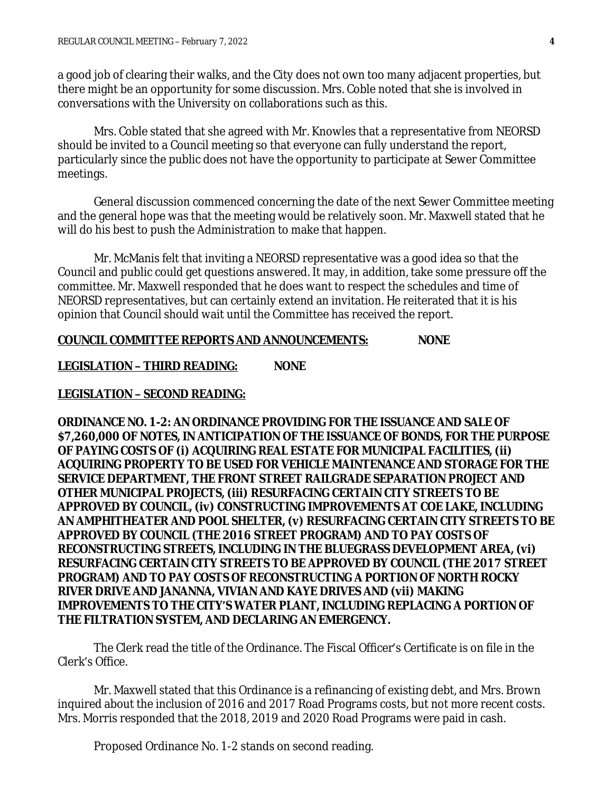a good job of clearing their walks, and the City does not own too many adjacent properties, but there might be an opportunity for some discussion. Mrs. Coble noted that she is involved in conversations with the University on collaborations such as this.

Mrs. Coble stated that she agreed with Mr. Knowles that a representative from NEORSD should be invited to a Council meeting so that everyone can fully understand the report, particularly since the public does not have the opportunity to participate at Sewer Committee meetings.

General discussion commenced concerning the date of the next Sewer Committee meeting and the general hope was that the meeting would be relatively soon. Mr. Maxwell stated that he will do his best to push the Administration to make that happen.

Mr. McManis felt that inviting a NEORSD representative was a good idea so that the Council and public could get questions answered. It may, in addition, take some pressure off the committee. Mr. Maxwell responded that he does want to respect the schedules and time of NEORSD representatives, but can certainly extend an invitation. He reiterated that it is his opinion that Council should wait until the Committee has received the report.

### **COUNCIL COMMITTEE REPORTS AND ANNOUNCEMENTS: NONE**

**LEGISLATION – THIRD READING: NONE**

## **LEGISLATION – SECOND READING:**

**ORDINANCE NO. 1-2: AN ORDINANCE PROVIDING FOR THE ISSUANCE AND SALE OF \$7,260,000 OF NOTES, IN ANTICIPATION OF THE ISSUANCE OF BONDS, FOR THE PURPOSE OF PAYING COSTS OF (i) ACQUIRING REAL ESTATE FOR MUNICIPAL FACILITIES, (ii) ACQUIRING PROPERTY TO BE USED FOR VEHICLE MAINTENANCE AND STORAGE FOR THE SERVICE DEPARTMENT, THE FRONT STREET RAILGRADE SEPARATION PROJECT AND OTHER MUNICIPAL PROJECTS, (iii) RESURFACING CERTAIN CITY STREETS TO BE APPROVED BY COUNCIL, (iv) CONSTRUCTING IMPROVEMENTS AT COE LAKE, INCLUDING AN AMPHITHEATER AND POOL SHELTER, (v) RESURFACING CERTAIN CITY STREETS TO BE APPROVED BY COUNCIL (THE 2016 STREET PROGRAM) AND TO PAY COSTS OF RECONSTRUCTING STREETS, INCLUDING IN THE BLUEGRASS DEVELOPMENT AREA, (vi) RESURFACING CERTAIN CITY STREETS TO BE APPROVED BY COUNCIL (THE 2017 STREET PROGRAM) AND TO PAY COSTS OF RECONSTRUCTING A PORTION OF NORTH ROCKY RIVER DRIVE AND JANANNA, VIVIAN AND KAYE DRIVES AND (vii) MAKING IMPROVEMENTS TO THE CITY'S WATER PLANT, INCLUDING REPLACING A PORTION OF THE FILTRATION SYSTEM, AND DECLARING AN EMERGENCY.**

The Clerk read the title of the Ordinance. The Fiscal Officer's Certificate is on file in the Clerk's Office.

Mr. Maxwell stated that this Ordinance is a refinancing of existing debt, and Mrs. Brown inquired about the inclusion of 2016 and 2017 Road Programs costs, but not more recent costs. Mrs. Morris responded that the 2018, 2019 and 2020 Road Programs were paid in cash.

Proposed Ordinance No. 1-2 stands on second reading.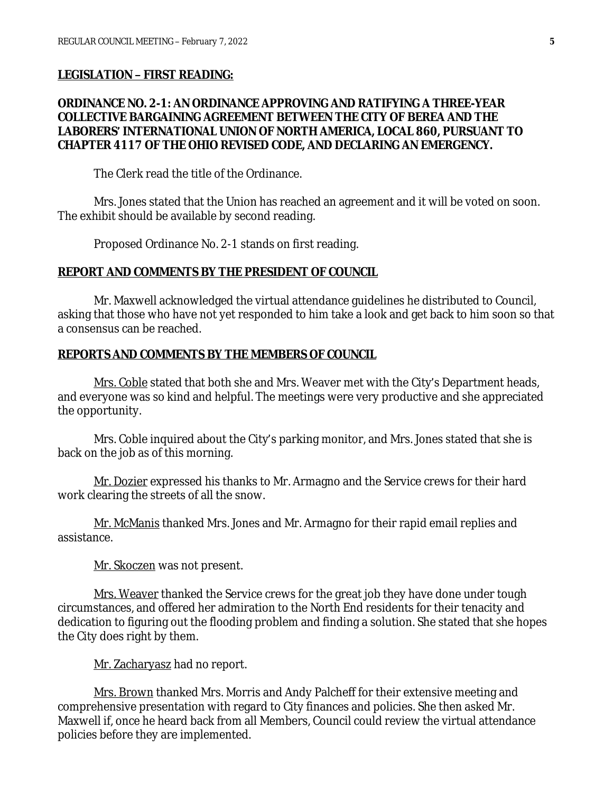#### **LEGISLATION – FIRST READING:**

# **ORDINANCE NO. 2-1: AN ORDINANCE APPROVING AND RATIFYING A THREE-YEAR COLLECTIVE BARGAINING AGREEMENT BETWEEN THE CITY OF BEREA AND THE LABORERS' INTERNATIONAL UNION OF NORTH AMERICA, LOCAL 860, PURSUANT TO CHAPTER 4117 OF THE OHIO REVISED CODE, AND DECLARING AN EMERGENCY.**

The Clerk read the title of the Ordinance.

Mrs. Jones stated that the Union has reached an agreement and it will be voted on soon. The exhibit should be available by second reading.

Proposed Ordinance No. 2-1 stands on first reading.

#### **REPORT AND COMMENTS BY THE PRESIDENT OF COUNCIL**

Mr. Maxwell acknowledged the virtual attendance guidelines he distributed to Council, asking that those who have not yet responded to him take a look and get back to him soon so that a consensus can be reached.

### **REPORTS AND COMMENTS BY THE MEMBERS OF COUNCIL**

Mrs. Coble stated that both she and Mrs. Weaver met with the City's Department heads, and everyone was so kind and helpful. The meetings were very productive and she appreciated the opportunity.

Mrs. Coble inquired about the City's parking monitor, and Mrs. Jones stated that she is back on the job as of this morning.

Mr. Dozier expressed his thanks to Mr. Armagno and the Service crews for their hard work clearing the streets of all the snow.

Mr. McManis thanked Mrs. Jones and Mr. Armagno for their rapid email replies and assistance.

Mr. Skoczen was not present.

Mrs. Weaver thanked the Service crews for the great job they have done under tough circumstances, and offered her admiration to the North End residents for their tenacity and dedication to figuring out the flooding problem and finding a solution. She stated that she hopes the City does right by them.

Mr. Zacharyasz had no report.

<u>Mrs. Brown</u> thanked Mrs. Morris and Andy Palcheff for their extensive meeting and comprehensive presentation with regard to City finances and policies. She then asked Mr. Maxwell if, once he heard back from all Members, Council could review the virtual attendance policies before they are implemented.